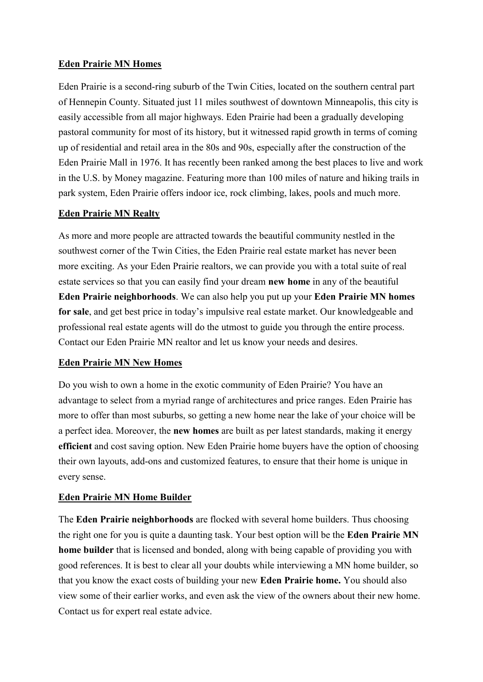#### **Eden Prairie MN Homes**

Eden Prairie is a second-ring suburb of the Twin Cities, located on the southern central part of Hennepin County. Situated just 11 miles southwest of downtown Minneapolis, this city is easily accessible from all major highways. Eden Prairie had been a gradually developing pastoral community for most of its history, but it witnessed rapid growth in terms of coming up of residential and retail area in the 80s and 90s, especially after the construction of the Eden Prairie Mall in 1976. It has recently been ranked among the best places to live and work in the U.S. by Money magazine. Featuring more than 100 miles of nature and hiking trails in park system, Eden Prairie offers indoor ice, rock climbing, lakes, pools and much more.

#### **Eden Prairie MN Realty**

As more and more people are attracted towards the beautiful community nestled in the southwest corner of the Twin Cities, the Eden Prairie real estate market has never been more exciting. As your Eden Prairie realtors, we can provide you with a total suite of real estate services so that you can easily find your dream **new home** in any of the beautiful **Eden Prairie neighborhoods**. We can also help you put up your **Eden Prairie MN homes for sale**, and get best price in today's impulsive real estate market. Our knowledgeable and professional real estate agents will do the utmost to guide you through the entire process. Contact our Eden Prairie MN realtor and let us know your needs and desires.

# **Eden Prairie MN New Homes**

Do you wish to own a home in the exotic community of Eden Prairie? You have an advantage to select from a myriad range of architectures and price ranges. Eden Prairie has more to offer than most suburbs, so getting a new home near the lake of your choice will be a perfect idea. Moreover, the **new homes** are built as per latest standards, making it energy **efficient** and cost saving option. New Eden Prairie home buyers have the option of choosing their own layouts, add-ons and customized features, to ensure that their home is unique in every sense.

# **Eden Prairie MN Home Builder**

The **Eden Prairie neighborhoods** are flocked with several home builders. Thus choosing the right one for you is quite a daunting task. Your best option will be the **Eden Prairie MN home builder** that is licensed and bonded, along with being capable of providing you with good references. It is best to clear all your doubts while interviewing a MN home builder, so that you know the exact costs of building your new **Eden Prairie home.** You should also view some of their earlier works, and even ask the view of the owners about their new home. Contact us for expert real estate advice.